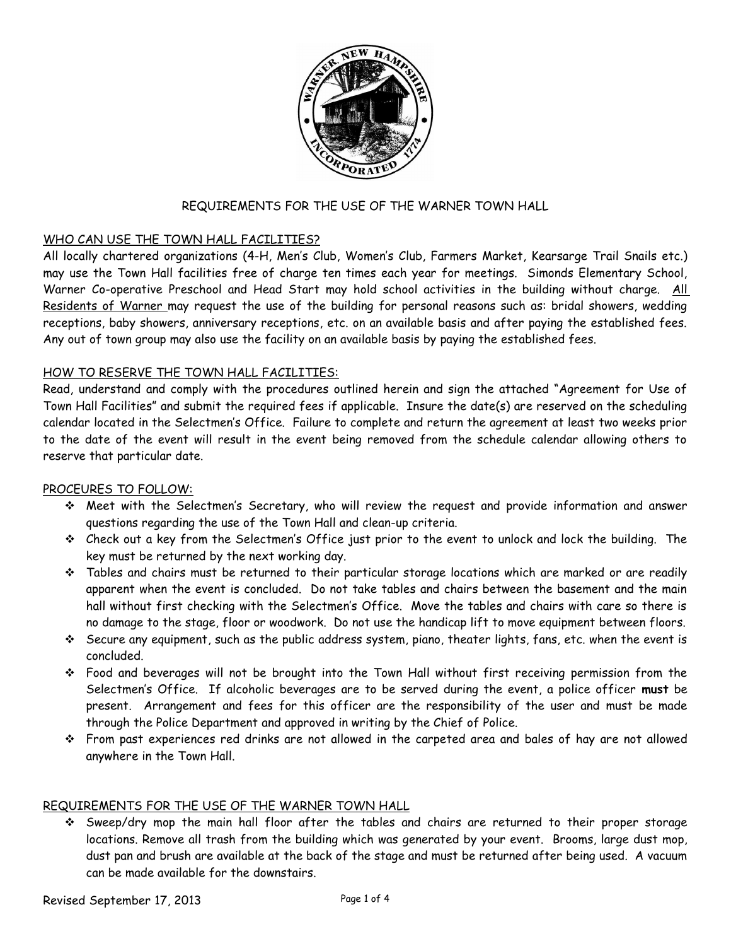

## REQUIREMENTS FOR THE USE OF THE WARNER TOWN HALL

### WHO CAN USE THE TOWN HALL FACILITIES?

All locally chartered organizations (4-H, Men's Club, Women's Club, Farmers Market, Kearsarge Trail Snails etc.) may use the Town Hall facilities free of charge ten times each year for meetings. Simonds Elementary School, Warner Co-operative Preschool and Head Start may hold school activities in the building without charge. All Residents of Warner may request the use of the building for personal reasons such as: bridal showers, wedding receptions, baby showers, anniversary receptions, etc. on an available basis and after paying the established fees. Any out of town group may also use the facility on an available basis by paying the established fees.

### HOW TO RESERVE THE TOWN HALL FACILITIES:

Read, understand and comply with the procedures outlined herein and sign the attached "Agreement for Use of Town Hall Facilities" and submit the required fees if applicable. Insure the date(s) are reserved on the scheduling calendar located in the Selectmen's Office. Failure to complete and return the agreement at least two weeks prior to the date of the event will result in the event being removed from the schedule calendar allowing others to reserve that particular date.

### PROCEURES TO FOLLOW:

- Meet with the Selectmen's Secretary, who will review the request and provide information and answer questions regarding the use of the Town Hall and clean-up criteria.
- Check out a key from the Selectmen's Office just prior to the event to unlock and lock the building. The key must be returned by the next working day.
- $\div$  Tables and chairs must be returned to their particular storage locations which are marked or are readily apparent when the event is concluded. Do not take tables and chairs between the basement and the main hall without first checking with the Selectmen's Office. Move the tables and chairs with care so there is no damage to the stage, floor or woodwork. Do not use the handicap lift to move equipment between floors.
- $\div$  Secure any equipment, such as the public address system, piano, theater lights, fans, etc. when the event is concluded.
- Food and beverages will not be brought into the Town Hall without first receiving permission from the Selectmen's Office. If alcoholic beverages are to be served during the event, a police officer **must** be present. Arrangement and fees for this officer are the responsibility of the user and must be made through the Police Department and approved in writing by the Chief of Police.
- From past experiences red drinks are not allowed in the carpeted area and bales of hay are not allowed anywhere in the Town Hall.

### REQUIREMENTS FOR THE USE OF THE WARNER TOWN HALL

 Sweep/dry mop the main hall floor after the tables and chairs are returned to their proper storage locations. Remove all trash from the building which was generated by your event. Brooms, large dust mop, dust pan and brush are available at the back of the stage and must be returned after being used. A vacuum can be made available for the downstairs.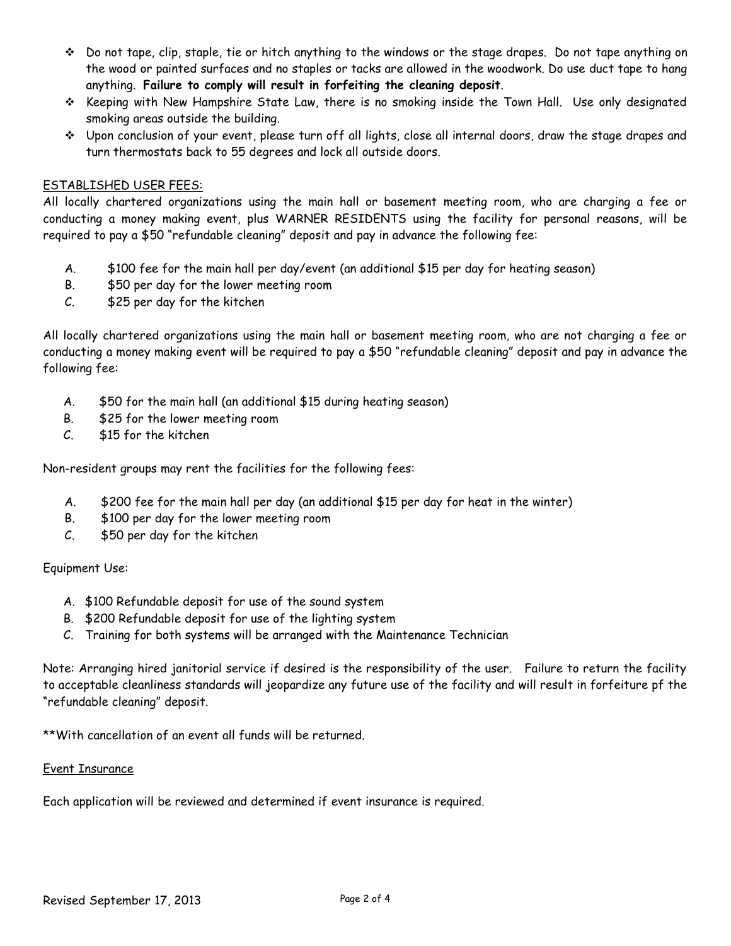- Do not tape, clip, staple, tie or hitch anything to the windows or the stage drapes. Do not tape anything on the wood or painted surfaces and no staples or tacks are allowed in the woodwork. Do use duct tape to hang anything. **Failure to comply will result in forfeiting the cleaning deposit**.
- $\div$  Keeping with New Hampshire State Law, there is no smoking inside the Town Hall. Use only designated smoking areas outside the building.
- Upon conclusion of your event, please turn off all lights, close all internal doors, draw the stage drapes and turn thermostats back to 55 degrees and lock all outside doors.

### ESTABLISHED USER FEES:

All locally chartered organizations using the main hall or basement meeting room, who are charging a fee or conducting a money making event, plus WARNER RESIDENTS using the facility for personal reasons, will be required to pay a \$50 "refundable cleaning" deposit and pay in advance the following fee:

- A. \$100 fee for the main hall per day/event (an additional \$15 per day for heating season)
- B. \$50 per day for the lower meeting room
- C. \$25 per day for the kitchen

All locally chartered organizations using the main hall or basement meeting room, who are not charging a fee or conducting a money making event will be required to pay a \$50 "refundable cleaning" deposit and pay in advance the following fee:

- A. \$50 for the main hall (an additional \$15 during heating season)
- B. \$25 for the lower meeting room
- C. \$15 for the kitchen

Non-resident groups may rent the facilities for the following fees:

- A. \$200 fee for the main hall per day (an additional \$15 per day for heat in the winter)
- B. \$100 per day for the lower meeting room
- C. \$50 per day for the kitchen

## Equipment Use:

- A. \$100 Refundable deposit for use of the sound system
- B. \$200 Refundable deposit for use of the lighting system
- C. Training for both systems will be arranged with the Maintenance Technician

Note: Arranging hired janitorial service if desired is the responsibility of the user. Failure to return the facility to acceptable cleanliness standards will jeopardize any future use of the facility and will result in forfeiture pf the "refundable cleaning" deposit.

\*\*With cancellation of an event all funds will be returned.

### Event Insurance

Each application will be reviewed and determined if event insurance is required.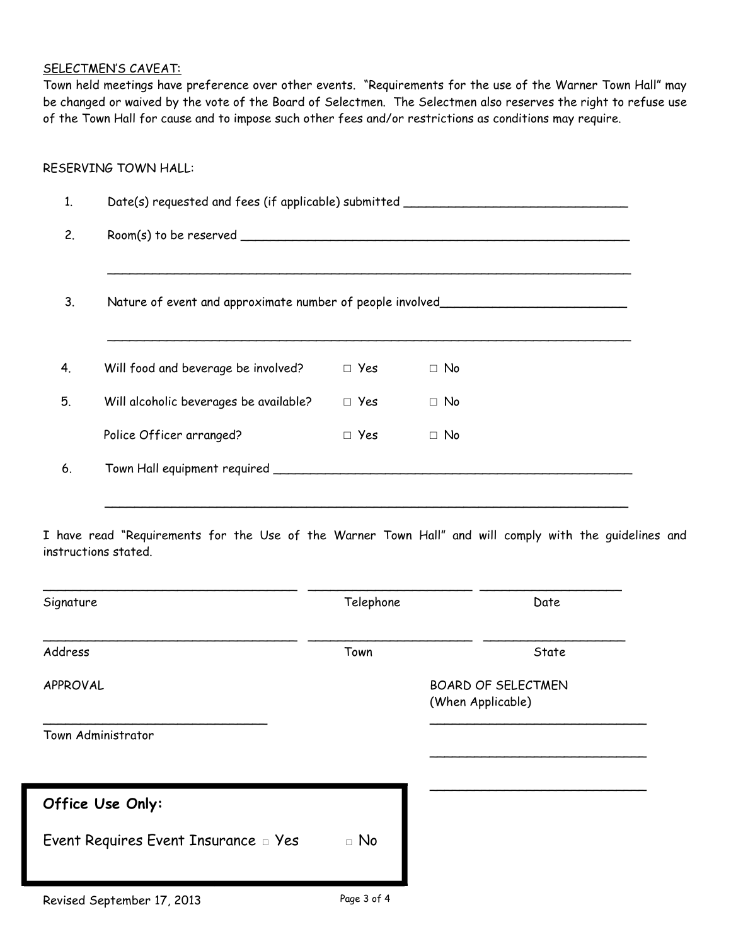### SELECTMEN'S CAVEAT:

Town held meetings have preference over other events. "Requirements for the use of the Warner Town Hall" may be changed or waived by the vote of the Board of Selectmen. The Selectmen also reserves the right to refuse use of the Town Hall for cause and to impose such other fees and/or restrictions as conditions may require.

### RESERVING TOWN HALL:

| Date(s) requested and fees (if applicable) submitted               |            |           |  |  |
|--------------------------------------------------------------------|------------|-----------|--|--|
| Room(s) to be reserved                                             |            |           |  |  |
| Nature of event and approximate number of people involved_________ |            |           |  |  |
|                                                                    |            |           |  |  |
| Will food and beverage be involved?                                | $\Box$ Yes | $\Box$ No |  |  |
| Will alcoholic beverages be available?                             | $\Box$ Yes | $\Box$ No |  |  |
| Police Officer arranged?                                           | $\Box$ Yes | $\Box$ No |  |  |

I have read "Requirements for the Use of the Warner Town Hall" and will comply with the guidelines and instructions stated.

\_\_\_\_\_\_\_\_\_\_\_\_\_\_\_\_\_\_\_\_\_\_\_\_\_\_\_\_\_\_\_\_\_\_\_\_\_\_\_\_\_\_\_\_\_\_\_\_\_\_\_\_\_\_\_\_\_\_\_\_\_\_\_\_\_\_\_\_\_\_

| Signature                            | Telephone | Date                                           |
|--------------------------------------|-----------|------------------------------------------------|
| Address                              | Town      | State                                          |
| APPROVAL                             |           | <b>BOARD OF SELECTMEN</b><br>(When Applicable) |
| Town Administrator                   |           |                                                |
| Office Use Only:                     |           |                                                |
| Event Requires Event Insurance a Yes | $\Box$ No |                                                |
|                                      |           |                                                |